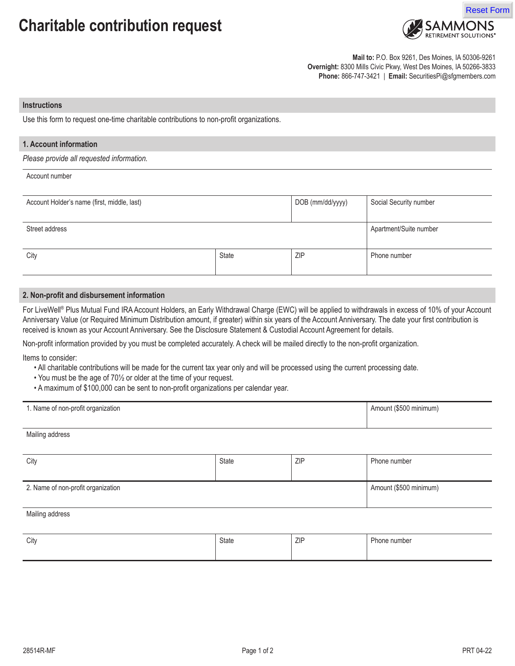# **Charitable contribution request**



**Mail to:** P.O. Box 9261, Des Moines, IA 50306-9261 **Overnight:** 8300 Mills Civic Pkwy, West Des Moines, IA 50266-3833 **Phone:** 866-747-3421 | **Email:** SecuritiesPi@sfgmembers.com

#### **Instructions**

Use this form to request one-time charitable contributions to non-profit organizations.

### **1. Account information**

*Please provide all requested information.*

## Account number

| Account Holder's name (first, middle, last) |       | DOB (mm/dd/yyyy) | Social Security number |
|---------------------------------------------|-------|------------------|------------------------|
|                                             |       |                  |                        |
| Street address                              |       |                  | Apartment/Suite number |
|                                             |       |                  |                        |
| City                                        | State | <b>ZIP</b>       | Phone number           |
|                                             |       |                  |                        |

#### **2. Non-profit and disbursement information**

For LiveWell® Plus Mutual Fund IRA Account Holders, an Early Withdrawal Charge (EWC) will be applied to withdrawals in excess of 10% of your Account Anniversary Value (or Required Minimum Distribution amount, if greater) within six years of the Account Anniversary. The date your first contribution is received is known as your Account Anniversary. See the Disclosure Statement & Custodial Account Agreement for details.

Non-profit information provided by you must be completed accurately. A check will be mailed directly to the non-profit organization.

Items to consider:

Mailing address

- All charitable contributions will be made for the current tax year only and will be processed using the current processing date.
- You must be the age of 70½ or older at the time of your request.
- A maximum of \$100,000 can be sent to non-profit organizations per calendar year.

| I. Name of non-profit organization | Amount (\$500 minimum) |
|------------------------------------|------------------------|
|                                    |                        |

| City                               | State | ZIP | Phone number           |  |
|------------------------------------|-------|-----|------------------------|--|
|                                    |       |     |                        |  |
| 2. Name of non-profit organization |       |     | Amount (\$500 minimum) |  |
|                                    |       |     |                        |  |
| Mailing address                    |       |     |                        |  |
|                                    |       |     |                        |  |

| City | State | <b>ZIP</b> | Phone number |
|------|-------|------------|--------------|
|      |       |            |              |